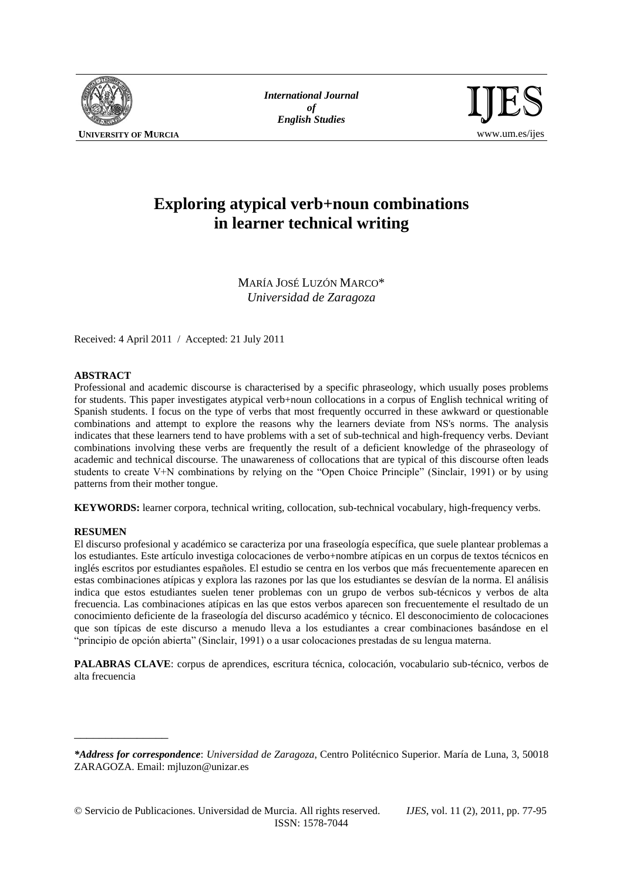

*International Journal of*



# **Exploring atypical verb+noun combinations in learner technical writing**

MARÍA JOSÉ LUZÓN MARCO\* *Universidad de Zaragoza*

Received: 4 April 2011 / Accepted: 21 July 2011

#### **ABSTRACT**

Professional and academic discourse is characterised by a specific phraseology, which usually poses problems for students. This paper investigates atypical verb+noun collocations in a corpus of English technical writing of Spanish students. I focus on the type of verbs that most frequently occurred in these awkward or questionable combinations and attempt to explore the reasons why the learners deviate from NS's norms. The analysis indicates that these learners tend to have problems with a set of sub-technical and high-frequency verbs. Deviant combinations involving these verbs are frequently the result of a deficient knowledge of the phraseology of academic and technical discourse. The unawareness of collocations that are typical of this discourse often leads students to create V+N combinations by relying on the "Open Choice Principle" (Sinclair, 1991) or by using patterns from their mother tongue.

**KEYWORDS:** learner corpora, technical writing, collocation, sub-technical vocabulary, high-frequency verbs.

#### **RESUMEN**

\_\_\_\_\_\_\_\_\_\_\_\_\_\_\_

El discurso profesional y académico se caracteriza por una fraseología específica, que suele plantear problemas a los estudiantes. Este artículo investiga colocaciones de verbo+nombre atípicas en un corpus de textos técnicos en inglés escritos por estudiantes españoles. El estudio se centra en los verbos que más frecuentemente aparecen en estas combinaciones atípicas y explora las razones por las que los estudiantes se desvían de la norma. El análisis indica que estos estudiantes suelen tener problemas con un grupo de verbos sub-técnicos y verbos de alta frecuencia. Las combinaciones atípicas en las que estos verbos aparecen son frecuentemente el resultado de un conocimiento deficiente de la fraseología del discurso académico y técnico. El desconocimiento de colocaciones que son típicas de este discurso a menudo lleva a los estudiantes a crear combinaciones basándose en el "principio de opción abierta" (Sinclair, 1991) o a usar colocaciones prestadas de su lengua materna.

PALABRAS CLAVE: corpus de aprendices, escritura técnica, colocación, vocabulario sub-técnico, verbos de alta frecuencia

*<sup>\*</sup>Address for correspondence*: *Universidad de Zaragoza*, Centro Politécnico Superior. María de Luna, 3, 50018 ZARAGOZA. Email: mjluzon@unizar.es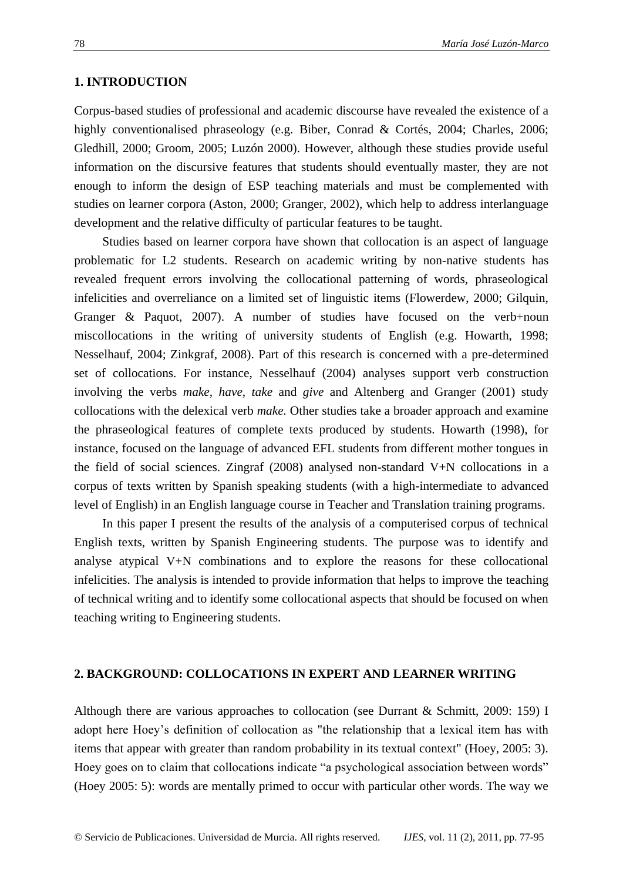# **1. INTRODUCTION**

Corpus-based studies of professional and academic discourse have revealed the existence of a highly conventionalised phraseology (e.g. Biber, Conrad & Cortés, 2004; Charles, 2006; Gledhill, 2000; Groom, 2005; Luzón 2000). However, although these studies provide useful information on the discursive features that students should eventually master, they are not enough to inform the design of ESP teaching materials and must be complemented with studies on learner corpora (Aston, 2000; Granger, 2002), which help to address interlanguage development and the relative difficulty of particular features to be taught.

Studies based on learner corpora have shown that collocation is an aspect of language problematic for L2 students. Research on academic writing by non-native students has revealed frequent errors involving the collocational patterning of words, phraseological infelicities and overreliance on a limited set of linguistic items (Flowerdew, 2000; Gilquin, Granger & Paquot, 2007). A number of studies have focused on the verb+noun miscollocations in the writing of university students of English (e.g. Howarth, 1998; Nesselhauf, 2004; Zinkgraf, 2008). Part of this research is concerned with a pre-determined set of collocations. For instance, Nesselhauf (2004) analyses support verb construction involving the verbs *make, have, take* and *give* and Altenberg and Granger (2001) study collocations with the delexical verb *make.* Other studies take a broader approach and examine the phraseological features of complete texts produced by students. Howarth (1998), for instance, focused on the language of advanced EFL students from different mother tongues in the field of social sciences. Zingraf (2008) analysed non-standard V+N collocations in a corpus of texts written by Spanish speaking students (with a high-intermediate to advanced level of English) in an English language course in Teacher and Translation training programs.

In this paper I present the results of the analysis of a computerised corpus of technical English texts, written by Spanish Engineering students. The purpose was to identify and analyse atypical V+N combinations and to explore the reasons for these collocational infelicities. The analysis is intended to provide information that helps to improve the teaching of technical writing and to identify some collocational aspects that should be focused on when teaching writing to Engineering students.

## **2. BACKGROUND: COLLOCATIONS IN EXPERT AND LEARNER WRITING**

Although there are various approaches to collocation (see Durrant & Schmitt, 2009: 159) I adopt here Hoey's definition of collocation as "the relationship that a lexical item has with items that appear with greater than random probability in its textual context" (Hoey, 2005: 3). Hoey goes on to claim that collocations indicate "a psychological association between words" (Hoey 2005: 5): words are mentally primed to occur with particular other words. The way we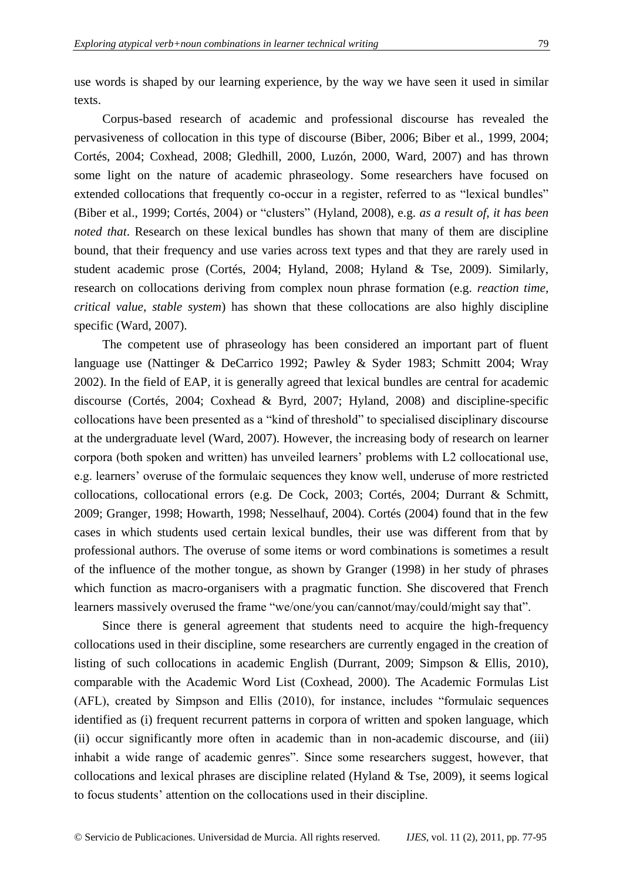79

use words is shaped by our learning experience, by the way we have seen it used in similar texts.

Corpus-based research of academic and professional discourse has revealed the pervasiveness of collocation in this type of discourse (Biber, 2006; Biber et al., 1999, 2004; Cortés, 2004; Coxhead, 2008; Gledhill, 2000, Luzón, 2000, Ward, 2007) and has thrown some light on the nature of academic phraseology. Some researchers have focused on extended collocations that frequently co-occur in a register, referred to as "lexical bundles" (Biber et al., 1999; Cortés, 2004) or "clusters" (Hyland, 2008), e.g. *as a result of, it has been noted that*. Research on these lexical bundles has shown that many of them are discipline bound, that their frequency and use varies across text types and that they are rarely used in student academic prose (Cortés, 2004; Hyland, 2008; Hyland & Tse, 2009). Similarly, research on collocations deriving from complex noun phrase formation (e.g. *reaction time, critical value, stable system*) has shown that these collocations are also highly discipline specific (Ward, 2007).

The competent use of phraseology has been considered an important part of fluent language use (Nattinger & DeCarrico 1992; Pawley & Syder 1983; Schmitt 2004; Wray 2002). In the field of EAP, it is generally agreed that lexical bundles are central for academic discourse (Cortés, 2004; Coxhead & Byrd, 2007; Hyland, 2008) and discipline-specific collocations have been presented as a "kind of threshold" to specialised disciplinary discourse at the undergraduate level (Ward, 2007). However, the increasing body of research on learner corpora (both spoken and written) has unveiled learners' problems with L2 collocational use, e.g. learners' overuse of the formulaic sequences they know well, underuse of more restricted collocations, collocational errors (e.g. De Cock, 2003; Cortés, 2004; Durrant & Schmitt, 2009; Granger, 1998; Howarth, 1998; Nesselhauf, 2004). Cortés (2004) found that in the few cases in which students used certain lexical bundles, their use was different from that by professional authors. The overuse of some items or word combinations is sometimes a result of the influence of the mother tongue, as shown by Granger (1998) in her study of phrases which function as macro-organisers with a pragmatic function. She discovered that French learners massively overused the frame "we/one/you can/cannot/may/could/might say that".

Since there is general agreement that students need to acquire the high-frequency collocations used in their discipline, some researchers are currently engaged in the creation of listing of such collocations in academic English (Durrant, 2009; Simpson & Ellis, 2010), comparable with the Academic Word List (Coxhead, 2000). The Academic Formulas List (AFL), created by Simpson and Ellis (2010), for instance, includes "formulaic sequences identified as (i) frequent recurrent patterns in corpora of written and spoken language, which (ii) occur significantly more often in academic than in non-academic discourse, and (iii) inhabit a wide range of academic genres". Since some researchers suggest, however, that collocations and lexical phrases are discipline related (Hyland & Tse, 2009), it seems logical to focus students' attention on the collocations used in their discipline.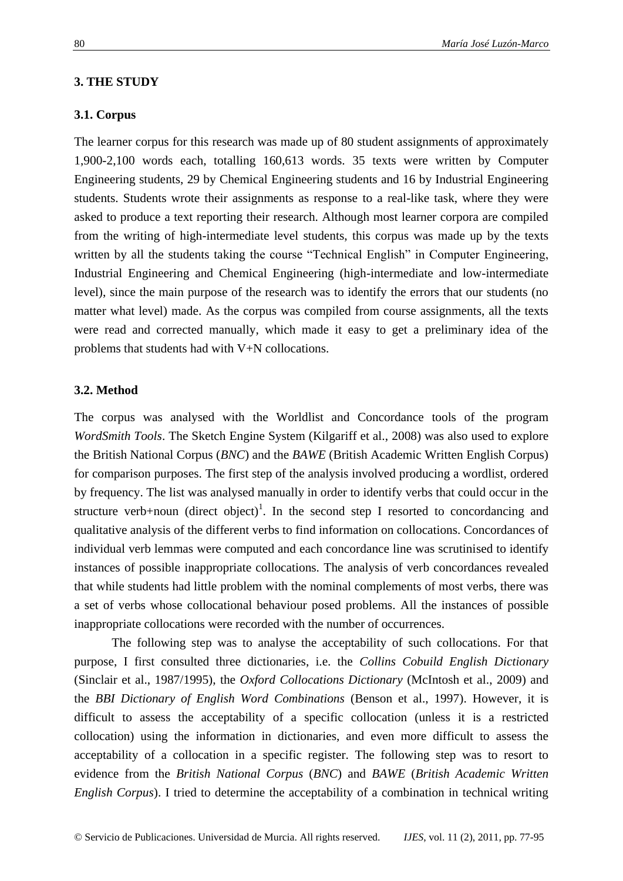#### **3. THE STUDY**

## **3.1. Corpus**

The learner corpus for this research was made up of 80 student assignments of approximately 1,900-2,100 words each, totalling 160,613 words. 35 texts were written by Computer Engineering students, 29 by Chemical Engineering students and 16 by Industrial Engineering students. Students wrote their assignments as response to a real-like task, where they were asked to produce a text reporting their research. Although most learner corpora are compiled from the writing of high-intermediate level students, this corpus was made up by the texts written by all the students taking the course "Technical English" in Computer Engineering, Industrial Engineering and Chemical Engineering (high-intermediate and low-intermediate level), since the main purpose of the research was to identify the errors that our students (no matter what level) made. As the corpus was compiled from course assignments, all the texts were read and corrected manually, which made it easy to get a preliminary idea of the problems that students had with V+N collocations.

#### **3.2. Method**

The corpus was analysed with the Worldlist and Concordance tools of the program *WordSmith Tools*. The Sketch Engine System (Kilgariff et al., 2008) was also used to explore the British National Corpus (*BNC*) and the *BAWE* (British Academic Written English Corpus) for comparison purposes. The first step of the analysis involved producing a wordlist, ordered by frequency. The list was analysed manually in order to identify verbs that could occur in the structure verb+noun (direct object)<sup>1</sup>. In the second step I resorted to concordancing and qualitative analysis of the different verbs to find information on collocations. Concordances of individual verb lemmas were computed and each concordance line was scrutinised to identify instances of possible inappropriate collocations. The analysis of verb concordances revealed that while students had little problem with the nominal complements of most verbs, there was a set of verbs whose collocational behaviour posed problems. All the instances of possible inappropriate collocations were recorded with the number of occurrences.

The following step was to analyse the acceptability of such collocations. For that purpose, I first consulted three dictionaries, i.e. the *Collins Cobuild English Dictionary*  (Sinclair et al., 1987/1995), the *Oxford Collocations Dictionary* (McIntosh et al., 2009) and the *BBI Dictionary of English Word Combinations* (Benson et al., 1997). However, it is difficult to assess the acceptability of a specific collocation (unless it is a restricted collocation) using the information in dictionaries, and even more difficult to assess the acceptability of a collocation in a specific register. The following step was to resort to evidence from the *British National Corpus* (*BNC*) and *BAWE* (*British Academic Written English Corpus*). I tried to determine the acceptability of a combination in technical writing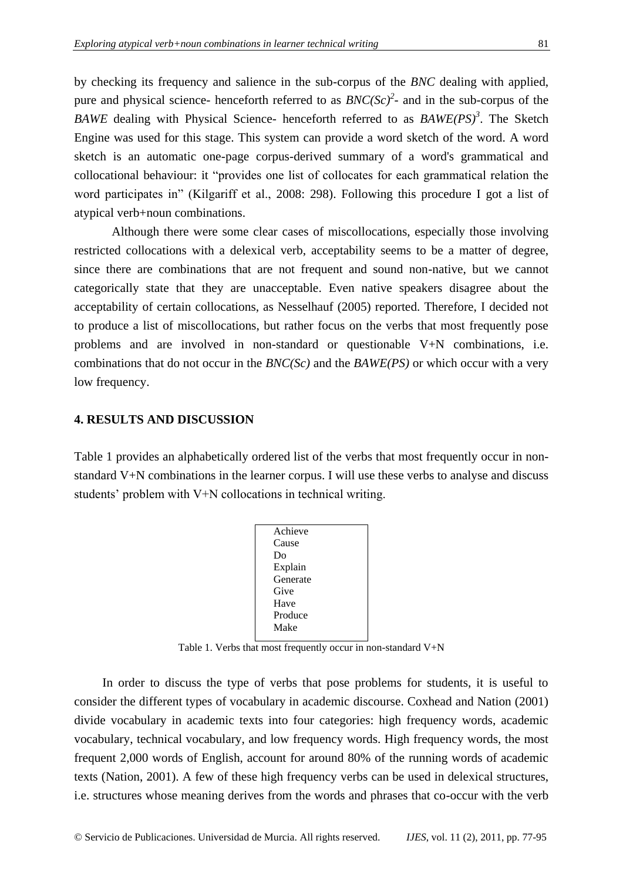by checking its frequency and salience in the sub-corpus of the *BNC* dealing with applied, pure and physical science- henceforth referred to as  $BNC(Sc)^2$ - and in the sub-corpus of the *BAWE* dealing with Physical Science- henceforth referred to as *BAWE(PS)<sup>3</sup>* . The Sketch Engine was used for this stage. This system can provide a word sketch of the word. A word sketch is an automatic one-page corpus-derived summary of a word's grammatical and collocational behaviour: it "provides one list of collocates for each grammatical relation the word participates in" (Kilgariff et al., 2008: 298). Following this procedure I got a list of atypical verb+noun combinations.

Although there were some clear cases of miscollocations, especially those involving restricted collocations with a delexical verb, acceptability seems to be a matter of degree, since there are combinations that are not frequent and sound non-native, but we cannot categorically state that they are unacceptable. Even native speakers disagree about the acceptability of certain collocations, as Nesselhauf (2005) reported. Therefore, I decided not to produce a list of miscollocations, but rather focus on the verbs that most frequently pose problems and are involved in non-standard or questionable V+N combinations, i.e. combinations that do not occur in the *BNC(Sc)* and the *BAWE(PS)* or which occur with a very low frequency.

## **4. RESULTS AND DISCUSSION**

Table 1 provides an alphabetically ordered list of the verbs that most frequently occur in nonstandard V+N combinations in the learner corpus. I will use these verbs to analyse and discuss students' problem with V+N collocations in technical writing.

| Achieve  |
|----------|
| Cause    |
| Do       |
| Explain  |
| Generate |
| Give     |
| Have     |
| Produce  |
| Make     |
|          |

Table 1. Verbs that most frequently occur in non-standard V+N

In order to discuss the type of verbs that pose problems for students, it is useful to consider the different types of vocabulary in academic discourse. Coxhead and Nation (2001) divide vocabulary in academic texts into four categories: high frequency words, academic vocabulary, technical vocabulary, and low frequency words. High frequency words, the most frequent 2,000 words of English, account for around 80% of the running words of academic texts (Nation, 2001). A few of these high frequency verbs can be used in delexical structures, i.e. structures whose meaning derives from the words and phrases that co-occur with the verb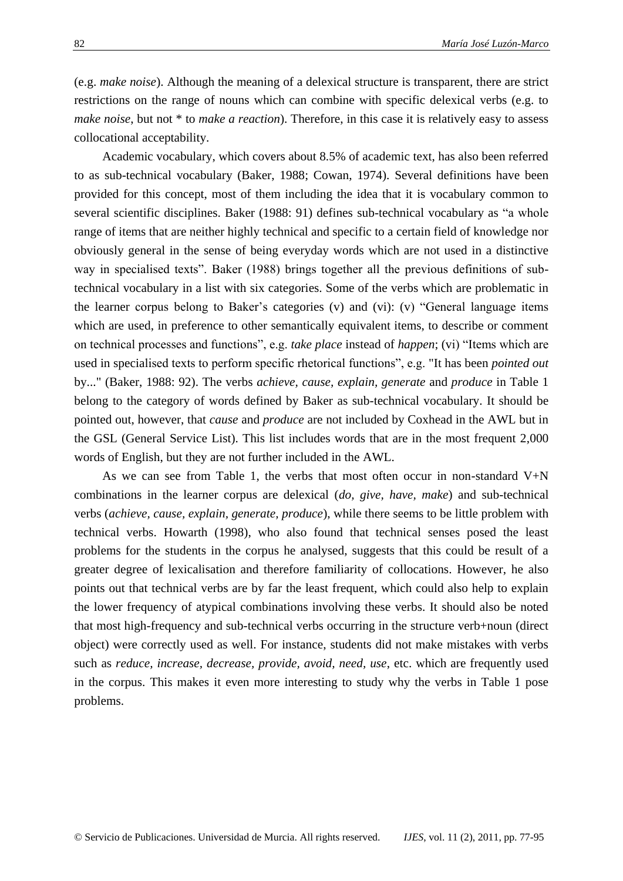(e.g. *make noise*). Although the meaning of a delexical structure is transparent, there are strict restrictions on the range of nouns which can combine with specific delexical verbs (e.g. to *make noise*, but not \* to *make a reaction*). Therefore, in this case it is relatively easy to assess collocational acceptability.

Academic vocabulary, which covers about 8.5% of academic text, has also been referred to as sub-technical vocabulary (Baker, 1988; Cowan, 1974). Several definitions have been provided for this concept, most of them including the idea that it is vocabulary common to several scientific disciplines. Baker (1988: 91) defines sub-technical vocabulary as "a whole range of items that are neither highly technical and specific to a certain field of knowledge nor obviously general in the sense of being everyday words which are not used in a distinctive way in specialised texts". Baker (1988) brings together all the previous definitions of subtechnical vocabulary in a list with six categories. Some of the verbs which are problematic in the learner corpus belong to Baker's categories (v) and (vi): (v) "General language items which are used, in preference to other semantically equivalent items, to describe or comment on technical processes and functions", e.g. *take place* instead of *happen*; (vi) "Items which are used in specialised texts to perform specific rhetorical functions", e.g. "It has been *pointed out*  by..." (Baker, 1988: 92). The verbs *achieve, cause, explain, generate* and *produce* in Table 1 belong to the category of words defined by Baker as sub-technical vocabulary. It should be pointed out, however, that *cause* and *produce* are not included by Coxhead in the AWL but in the GSL (General Service List). This list includes words that are in the most frequent 2,000 words of English, but they are not further included in the AWL.

As we can see from Table 1, the verbs that most often occur in non-standard  $V+N$ combinations in the learner corpus are delexical (*do, give, have, make*) and sub-technical verbs (*achieve, cause, explain, generate, produce*), while there seems to be little problem with technical verbs. Howarth (1998), who also found that technical senses posed the least problems for the students in the corpus he analysed, suggests that this could be result of a greater degree of lexicalisation and therefore familiarity of collocations. However, he also points out that technical verbs are by far the least frequent, which could also help to explain the lower frequency of atypical combinations involving these verbs. It should also be noted that most high-frequency and sub-technical verbs occurring in the structure verb+noun (direct object) were correctly used as well. For instance, students did not make mistakes with verbs such as *reduce, increase, decrease, provide, avoid, need, use*, etc. which are frequently used in the corpus. This makes it even more interesting to study why the verbs in Table 1 pose problems.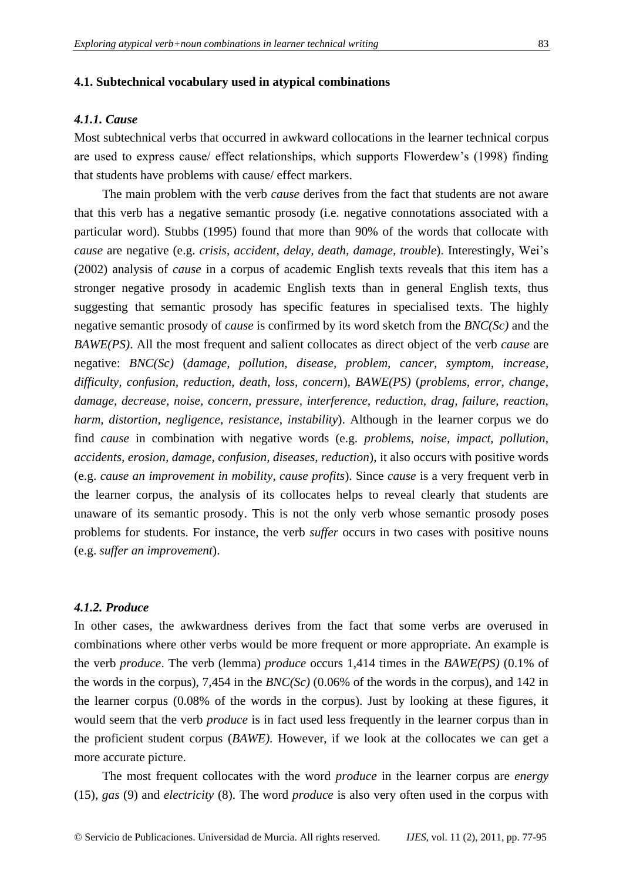#### **4.1. Subtechnical vocabulary used in atypical combinations**

## *4.1.1. Cause*

Most subtechnical verbs that occurred in awkward collocations in the learner technical corpus are used to express cause/ effect relationships, which supports Flowerdew's (1998) finding that students have problems with cause/ effect markers.

The main problem with the verb *cause* derives from the fact that students are not aware that this verb has a negative semantic prosody (i.e. negative connotations associated with a particular word). Stubbs (1995) found that more than 90% of the words that collocate with *cause* are negative (e.g. *crisis, accident, delay, death, damage, trouble*). Interestingly, Wei's (2002) analysis of *cause* in a corpus of academic English texts reveals that this item has a stronger negative prosody in academic English texts than in general English texts, thus suggesting that semantic prosody has specific features in specialised texts. The highly negative semantic prosody of *cause* is confirmed by its word sketch from the *BNC(Sc)* and the *BAWE(PS)*. All the most frequent and salient collocates as direct object of the verb *cause* are negative: *BNC(Sc)* (*damage, pollution, disease, problem, cancer, symptom, increase, difficulty, confusion, reduction, death, loss, concern*), *BAWE(PS)* (*problems, error, change, damage, decrease, noise, concern, pressure, interference, reduction, drag, failure, reaction, harm, distortion, negligence, resistance, instability*). Although in the learner corpus we do find *cause* in combination with negative words (e.g. *problems, noise, impact, pollution, accidents, erosion, damage, confusion, diseases, reduction*), it also occurs with positive words (e.g. *cause an improvement in mobility, cause profits*). Since *cause* is a very frequent verb in the learner corpus, the analysis of its collocates helps to reveal clearly that students are unaware of its semantic prosody. This is not the only verb whose semantic prosody poses problems for students. For instance, the verb *suffer* occurs in two cases with positive nouns (e.g. *suffer an improvement*).

## *4.1.2. Produce*

In other cases, the awkwardness derives from the fact that some verbs are overused in combinations where other verbs would be more frequent or more appropriate. An example is the verb *produce*. The verb (lemma) *produce* occurs 1,414 times in the *BAWE(PS)* (0.1% of the words in the corpus), 7,454 in the *BNC(Sc)* (0.06% of the words in the corpus), and 142 in the learner corpus (0.08% of the words in the corpus). Just by looking at these figures, it would seem that the verb *produce* is in fact used less frequently in the learner corpus than in the proficient student corpus (*BAWE)*. However, if we look at the collocates we can get a more accurate picture.

The most frequent collocates with the word *produce* in the learner corpus are *energy* (15), *gas* (9) and *electricity* (8). The word *produce* is also very often used in the corpus with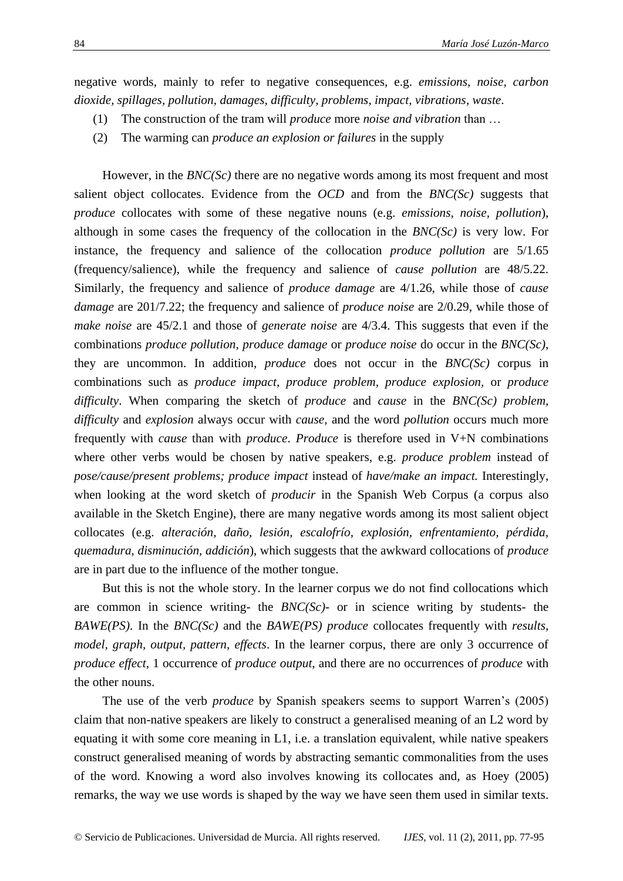negative words, mainly to refer to negative consequences, e.g. *emissions, noise, carbon dioxide, spillages, pollution, damages, difficulty, problems, impact, vibrations, waste*.

- (1) The construction of the tram will *produce* more *noise and vibration* than …
- (2) The warming can *produce an explosion or failures* in the supply

However, in the *BNC(Sc)* there are no negative words among its most frequent and most salient object collocates. Evidence from the *OCD* and from the *BNC(Sc)* suggests that *produce* collocates with some of these negative nouns (e.g. *emissions, noise, pollution*), although in some cases the frequency of the collocation in the *BNC(Sc)* is very low. For instance, the frequency and salience of the collocation *produce pollution* are 5/1.65 (frequency/salience), while the frequency and salience of *cause pollution* are 48/5.22. Similarly, the frequency and salience of *produce damage* are 4/1.26, while those of *cause damage* are 201/7.22; the frequency and salience of *produce noise* are 2/0.29, while those of *make noise* are 45/2.1 and those of *generate noise* are 4/3.4. This suggests that even if the combinations *produce pollution, produce damage* or *produce noise* do occur in the *BNC(Sc)*, they are uncommon. In addition, *produce* does not occur in the *BNC(Sc)* corpus in combinations such as *produce impact, produce problem, produce explosion,* or *produce difficulty*. When comparing the sketch of *produce* and *cause* in the *BNC(Sc) problem, difficulty* and *explosion* always occur with *cause*, and the word *pollution* occurs much more frequently with *cause* than with *produce*. *Produce* is therefore used in V+N combinations where other verbs would be chosen by native speakers, e.g. *produce problem* instead of *pose/cause/present problems; produce impact* instead of *have/make an impact.* Interestingly, when looking at the word sketch of *producir* in the Spanish Web Corpus (a corpus also available in the Sketch Engine), there are many negative words among its most salient object collocates (e.g. *alteración, daño, lesión, escalofrío, explosión, enfrentamiento, pérdida, quemadura, disminución, addición*), which suggests that the awkward collocations of *produce* are in part due to the influence of the mother tongue.

But this is not the whole story. In the learner corpus we do not find collocations which are common in science writing- the *BNC(Sc)*- or in science writing by students- the *BAWE(PS)*. In the *BNC(Sc)* and the *BAWE(PS) produce* collocates frequently with *results, model, graph, output, pattern, effects*. In the learner corpus, there are only 3 occurrence of *produce effect*, 1 occurrence of *produce output*, and there are no occurrences of *produce* with the other nouns.

The use of the verb *produce* by Spanish speakers seems to support Warren's (2005) claim that non-native speakers are likely to construct a generalised meaning of an L2 word by equating it with some core meaning in L1, i.e. a translation equivalent, while native speakers construct generalised meaning of words by abstracting semantic commonalities from the uses of the word. Knowing a word also involves knowing its collocates and, as Hoey (2005) remarks, the way we use words is shaped by the way we have seen them used in similar texts.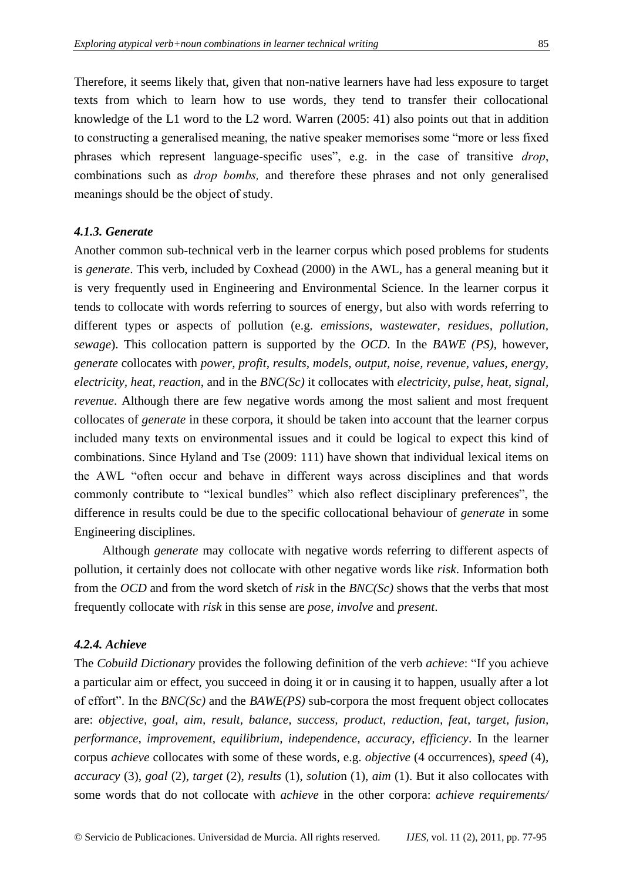Therefore, it seems likely that, given that non-native learners have had less exposure to target texts from which to learn how to use words, they tend to transfer their collocational knowledge of the L1 word to the L2 word. Warren (2005: 41) also points out that in addition to constructing a generalised meaning, the native speaker memorises some "more or less fixed phrases which represent language-specific uses", e.g. in the case of transitive *drop*, combinations such as *drop bombs,* and therefore these phrases and not only generalised meanings should be the object of study.

#### *4.1.3. Generate*

Another common sub-technical verb in the learner corpus which posed problems for students is *generate*. This verb, included by Coxhead (2000) in the AWL, has a general meaning but it is very frequently used in Engineering and Environmental Science. In the learner corpus it tends to collocate with words referring to sources of energy, but also with words referring to different types or aspects of pollution (e.g. *emissions, wastewater, residues, pollution, sewage*). This collocation pattern is supported by the *OCD*. In the *BAWE (PS)*, however, *generate* collocates with *power, profit, results, models, output, noise, revenue, values, energy, electricity, heat, reaction*, and in the *BNC(Sc)* it collocates with *electricity, pulse, heat, signal, revenue*. Although there are few negative words among the most salient and most frequent collocates of *generate* in these corpora, it should be taken into account that the learner corpus included many texts on environmental issues and it could be logical to expect this kind of combinations. Since Hyland and Tse (2009: 111) have shown that individual lexical items on the AWL "often occur and behave in different ways across disciplines and that words commonly contribute to "lexical bundles" which also reflect disciplinary preferences", the difference in results could be due to the specific collocational behaviour of *generate* in some Engineering disciplines.

Although *generate* may collocate with negative words referring to different aspects of pollution, it certainly does not collocate with other negative words like *risk*. Information both from the *OCD* and from the word sketch of *risk* in the *BNC(Sc)* shows that the verbs that most frequently collocate with *risk* in this sense are *pose, involve* and *present*.

# *4.2.4. Achieve*

The *Cobuild Dictionary* provides the following definition of the verb *achieve*: "If you achieve a particular aim or effect, you succeed in doing it or in causing it to happen, usually after a lot of effort". In the *BNC(Sc)* and the *BAWE(PS)* sub-corpora the most frequent object collocates are: *objective, goal, aim, result, balance, success, product, reduction, feat, target, fusion, performance, improvement, equilibrium, independence, accuracy, efficiency*. In the learner corpus *achieve* collocates with some of these words*,* e.g. *objective* (4 occurrences), *speed* (4), *accuracy* (3), *goal* (2), *target* (2), *results* (1), *solutio*n (1), *aim* (1). But it also collocates with some words that do not collocate with *achieve* in the other corpora: *achieve requirements/*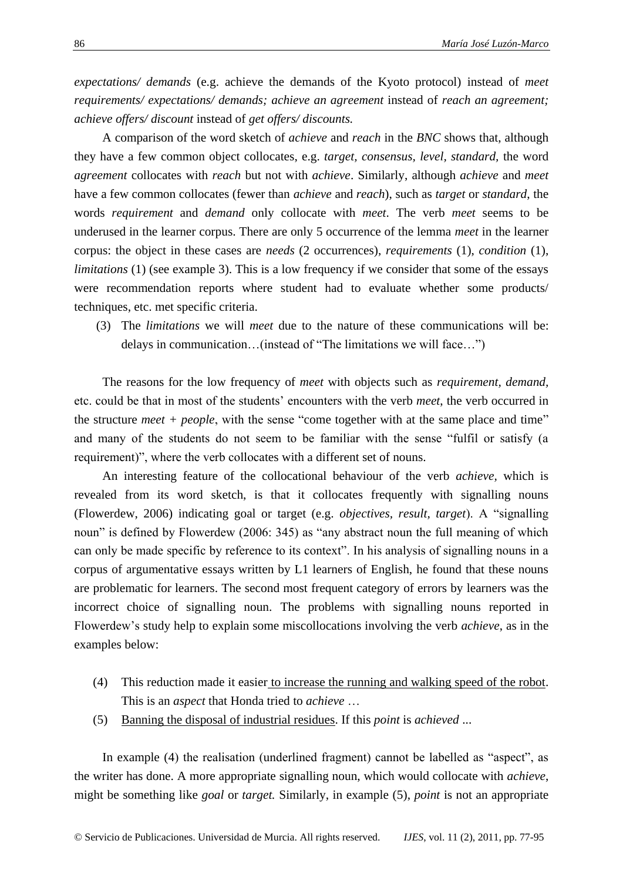*expectations/ demands* (e.g. achieve the demands of the Kyoto protocol) instead of *meet requirements/ expectations/ demands; achieve an agreement* instead of *reach an agreement; achieve offers/ discount* instead of *get offers/ discounts.*

A comparison of the word sketch of *achieve* and *reach* in the *BNC* shows that, although they have a few common object collocates, e.g. *target, consensus, level, standard,* the word *agreement* collocates with *reach* but not with *achieve*. Similarly, although *achieve* and *meet* have a few common collocates (fewer than *achieve* and *reach*), such as *target* or *standard*, the words *requirement* and *demand* only collocate with *meet*. The verb *meet* seems to be underused in the learner corpus. There are only 5 occurrence of the lemma *meet* in the learner corpus: the object in these cases are *needs* (2 occurrences), *requirements* (1), *condition* (1), *limitations* (1) (see example 3). This is a low frequency if we consider that some of the essays were recommendation reports where student had to evaluate whether some products/ techniques, etc. met specific criteria.

(3) The *limitations* we will *meet* due to the nature of these communications will be: delays in communication…(instead of "The limitations we will face…")

The reasons for the low frequency of *meet* with objects such as *requirement, demand,* etc. could be that in most of the students' encounters with the verb *meet*, the verb occurred in the structure *meet + people*, with the sense "come together with at the same place and time" and many of the students do not seem to be familiar with the sense "fulfil or satisfy (a requirement)", where the verb collocates with a different set of nouns.

An interesting feature of the collocational behaviour of the verb *achieve,* which is revealed from its word sketch, is that it collocates frequently with signalling nouns (Flowerdew, 2006) indicating goal or target (e.g. *objectives, result, target*). A "signalling noun" is defined by Flowerdew (2006: 345) as "any abstract noun the full meaning of which can only be made specific by reference to its context". In his analysis of signalling nouns in a corpus of argumentative essays written by L1 learners of English, he found that these nouns are problematic for learners. The second most frequent category of errors by learners was the incorrect choice of signalling noun. The problems with signalling nouns reported in Flowerdew's study help to explain some miscollocations involving the verb *achieve*, as in the examples below:

- (4) This reduction made it easier to increase the running and walking speed of the robot. This is an *aspect* that Honda tried to *achieve* …
- (5) Banning the disposal of industrial residues. If this *point* is *achieved* ...

In example (4) the realisation (underlined fragment) cannot be labelled as "aspect", as the writer has done. A more appropriate signalling noun, which would collocate with *achieve*, might be something like *goal* or *target.* Similarly, in example (5), *point* is not an appropriate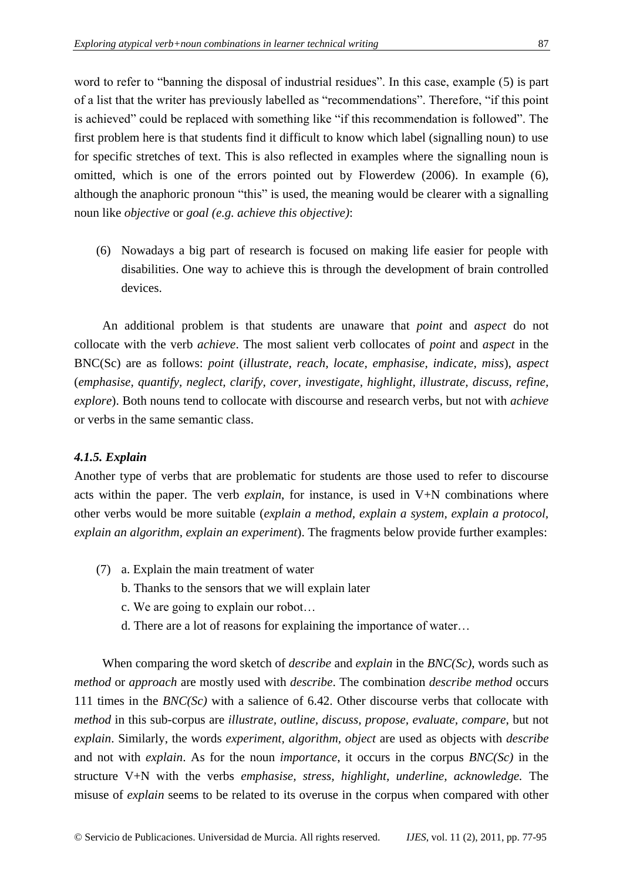word to refer to "banning the disposal of industrial residues". In this case, example (5) is part of a list that the writer has previously labelled as "recommendations". Therefore, "if this point is achieved" could be replaced with something like "if this recommendation is followed". The first problem here is that students find it difficult to know which label (signalling noun) to use for specific stretches of text. This is also reflected in examples where the signalling noun is omitted, which is one of the errors pointed out by Flowerdew (2006). In example (6), although the anaphoric pronoun "this" is used, the meaning would be clearer with a signalling noun like *objective* or *goal (e.g. achieve this objective)*:

(6) Nowadays a big part of research is focused on making life easier for people with disabilities. One way to achieve this is through the development of brain controlled devices.

An additional problem is that students are unaware that *point* and *aspect* do not collocate with the verb *achieve*. The most salient verb collocates of *point* and *aspect* in the BNC(Sc) are as follows: *point* (*illustrate, reach, locate, emphasise, indicate, miss*), *aspect* (*emphasise, quantify, neglect, clarify, cover, investigate, highlight, illustrate, discuss, refine, explore*). Both nouns tend to collocate with discourse and research verbs, but not with *achieve* or verbs in the same semantic class.

## *4.1.5. Explain*

Another type of verbs that are problematic for students are those used to refer to discourse acts within the paper. The verb *explain*, for instance, is used in V+N combinations where other verbs would be more suitable (*explain a method, explain a system, explain a protocol, explain an algorithm, explain an experiment*). The fragments below provide further examples:

- (7) a. Explain the main treatment of water
	- b. Thanks to the sensors that we will explain later
	- c. We are going to explain our robot…
	- d. There are a lot of reasons for explaining the importance of water…

When comparing the word sketch of *describe* and *explain* in the *BNC(Sc)*, words such as *method* or *approach* are mostly used with *describe*. The combination *describe method* occurs 111 times in the *BNC(Sc)* with a salience of 6.42. Other discourse verbs that collocate with *method* in this sub-corpus are *illustrate, outline, discuss, propose, evaluate, compare*, but not *explain*. Similarly, the words *experiment, algorithm, object* are used as objects with *describe* and not with *explain*. As for the noun *importance*, it occurs in the corpus *BNC(Sc)* in the structure V+N with the verbs *emphasise, stress, highlight, underline, acknowledge.* The misuse of *explain* seems to be related to its overuse in the corpus when compared with other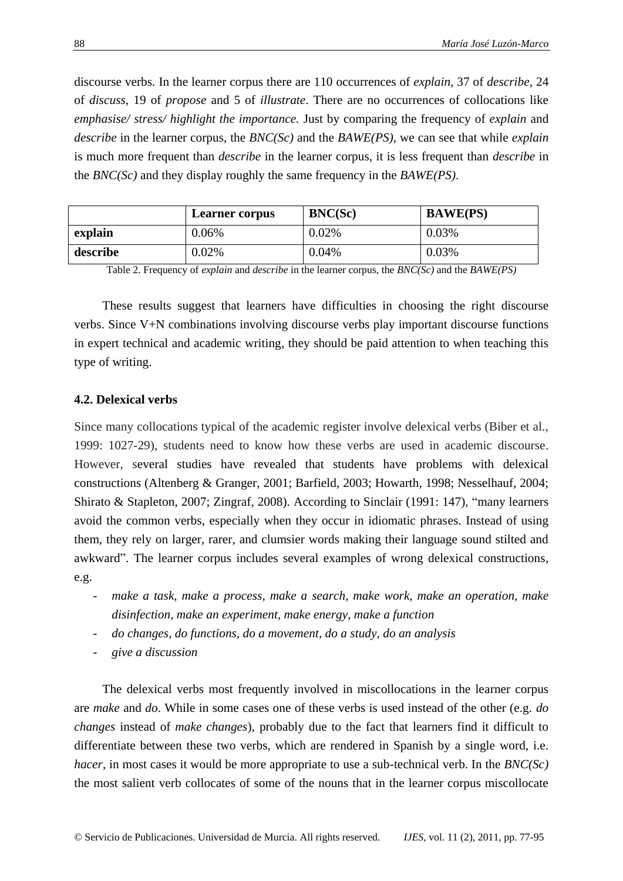discourse verbs*.* In the learner corpus there are 110 occurrences of *explain,* 37 of *describe,* 24 of *discuss*, 19 of *propose* and 5 of *illustrate*. There are no occurrences of collocations like *emphasise/ stress/ highlight the importance.* Just by comparing the frequency of *explain* and *describe* in the learner corpus, the *BNC(Sc)* and the *BAWE(PS)*, we can see that while *explain* is much more frequent than *describe* in the learner corpus, it is less frequent than *describe* in the *BNC(Sc)* and they display roughly the same frequency in the *BAWE(PS)*.

|          | <b>Learner corpus</b> | BNC(Sc) | <b>BAWE(PS)</b> |
|----------|-----------------------|---------|-----------------|
| explain  | 0.06%                 | 0.02%   | 0.03%           |
| describe | 0.02%                 | 0.04%   | 0.03%           |

Table 2. Frequency of *explain* and *describe* in the learner corpus, the *BNC(Sc)* and the *BAWE(PS)*

These results suggest that learners have difficulties in choosing the right discourse verbs. Since V+N combinations involving discourse verbs play important discourse functions in expert technical and academic writing, they should be paid attention to when teaching this type of writing.

# **4.2. Delexical verbs**

Since many collocations typical of the academic register involve delexical verbs (Biber et al., 1999: 1027-29), students need to know how these verbs are used in academic discourse. However, several studies have revealed that students have problems with delexical constructions (Altenberg & Granger, 2001; Barfield, 2003; Howarth, 1998; Nesselhauf, 2004; Shirato & Stapleton, 2007; Zingraf, 2008). According to Sinclair (1991: 147), "many learners avoid the common verbs, especially when they occur in idiomatic phrases. Instead of using them, they rely on larger, rarer, and clumsier words making their language sound stilted and awkward". The learner corpus includes several examples of wrong delexical constructions, e.g.

- *make a task, make a process, make a search, make work, make an operation, make disinfection, make an experiment, make energy, make a function*
- *do changes, do functions, do a movement, do a study, do an analysis*
- *give a discussion*

The delexical verbs most frequently involved in miscollocations in the learner corpus are *make* and *do*. While in some cases one of these verbs is used instead of the other (e.g. *do changes* instead of *make changes*), probably due to the fact that learners find it difficult to differentiate between these two verbs, which are rendered in Spanish by a single word, i.e. *hacer*, in most cases it would be more appropriate to use a sub-technical verb. In the *BNC(Sc)* the most salient verb collocates of some of the nouns that in the learner corpus miscollocate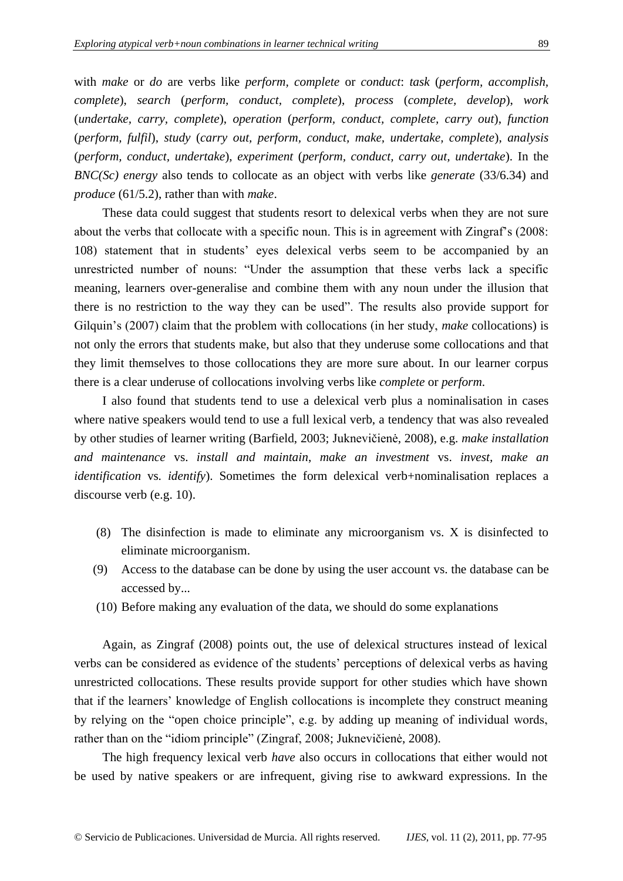with *make* or *do* are verbs like *perform, complete* or *conduct*: *task* (*perform, accomplish, complete*), *search* (*perform, conduct, complete*), *process* (*complete, develop*), *work* (*undertake, carry, complete*), *operation* (*perform, conduct, complete, carry out*), *function* (*perform, fulfil*), *study* (*carry out, perform, conduct, make, undertake, complete*), *analysis* (*perform, conduct, undertake*), *experiment* (*perform, conduct, carry out, undertake*). In the *BNC(Sc) energy* also tends to collocate as an object with verbs like *generate* (33/6.34) and *produce* (61/5.2), rather than with *make*.

These data could suggest that students resort to delexical verbs when they are not sure about the verbs that collocate with a specific noun. This is in agreement with Zingraf's (2008: 108) statement that in students' eyes delexical verbs seem to be accompanied by an unrestricted number of nouns: "Under the assumption that these verbs lack a specific meaning, learners over-generalise and combine them with any noun under the illusion that there is no restriction to the way they can be used". The results also provide support for Gilquin's (2007) claim that the problem with collocations (in her study, *make* collocations) is not only the errors that students make, but also that they underuse some collocations and that they limit themselves to those collocations they are more sure about. In our learner corpus there is a clear underuse of collocations involving verbs like *complete* or *perform*.

I also found that students tend to use a delexical verb plus a nominalisation in cases where native speakers would tend to use a full lexical verb, a tendency that was also revealed by other studies of learner writing (Barfield, 2003; Juknevičienė, 2008), e.g. *make installation and maintenance* vs. *install and maintain*, *make an investment* vs. *invest, make an identification* vs*. identify*). Sometimes the form delexical verb+nominalisation replaces a discourse verb (e.g. 10).

- (8) The disinfection is made to eliminate any microorganism vs. X is disinfected to eliminate microorganism.
- (9) Access to the database can be done by using the user account vs. the database can be accessed by...
- (10) Before making any evaluation of the data, we should do some explanations

Again, as Zingraf (2008) points out, the use of delexical structures instead of lexical verbs can be considered as evidence of the students' perceptions of delexical verbs as having unrestricted collocations. These results provide support for other studies which have shown that if the learners' knowledge of English collocations is incomplete they construct meaning by relying on the "open choice principle", e.g. by adding up meaning of individual words, rather than on the "idiom principle" (Zingraf, 2008; Juknevičienė, 2008).

The high frequency lexical verb *have* also occurs in collocations that either would not be used by native speakers or are infrequent, giving rise to awkward expressions. In the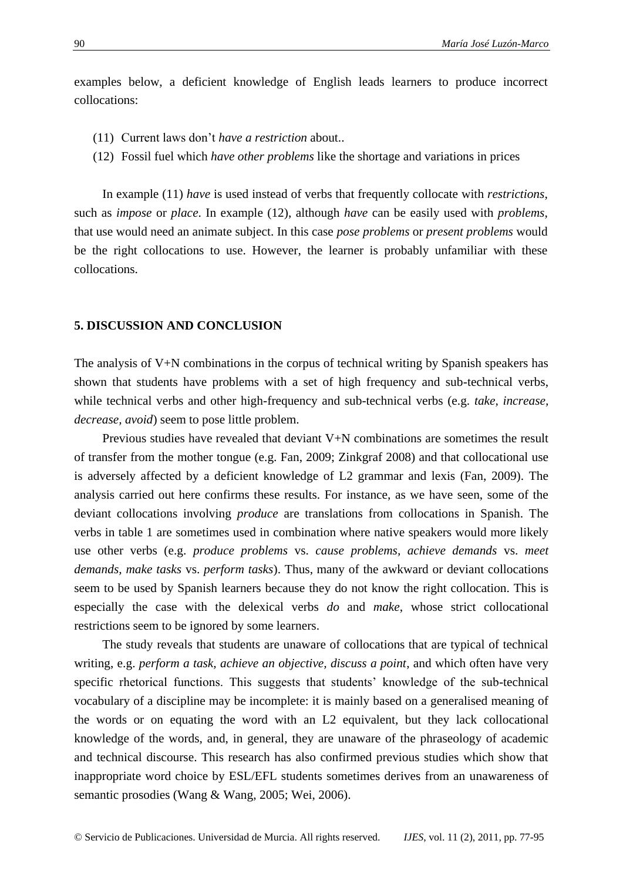examples below, a deficient knowledge of English leads learners to produce incorrect collocations:

- (11) Current laws don't *have a restriction* about..
- (12) Fossil fuel which *have other problems* like the shortage and variations in prices

In example (11) *have* is used instead of verbs that frequently collocate with *restrictions*, such as *impose* or *place*. In example (12), although *have* can be easily used with *problems*, that use would need an animate subject. In this case *pose problems* or *present problems* would be the right collocations to use. However, the learner is probably unfamiliar with these collocations.

#### **5. DISCUSSION AND CONCLUSION**

The analysis of V+N combinations in the corpus of technical writing by Spanish speakers has shown that students have problems with a set of high frequency and sub-technical verbs, while technical verbs and other high-frequency and sub-technical verbs (e.g. *take, increase, decrease, avoid*) seem to pose little problem.

Previous studies have revealed that deviant V+N combinations are sometimes the result of transfer from the mother tongue (e.g. Fan, 2009; Zinkgraf 2008) and that collocational use is adversely affected by a deficient knowledge of L2 grammar and lexis (Fan, 2009). The analysis carried out here confirms these results. For instance, as we have seen, some of the deviant collocations involving *produce* are translations from collocations in Spanish. The verbs in table 1 are sometimes used in combination where native speakers would more likely use other verbs (e.g. *produce problems* vs. *cause problems, achieve demands* vs. *meet demands, make tasks* vs. *perform tasks*). Thus, many of the awkward or deviant collocations seem to be used by Spanish learners because they do not know the right collocation. This is especially the case with the delexical verbs *do* and *make*, whose strict collocational restrictions seem to be ignored by some learners.

The study reveals that students are unaware of collocations that are typical of technical writing, e.g. *perform a task, achieve an objective, discuss a point*, and which often have very specific rhetorical functions. This suggests that students' knowledge of the sub-technical vocabulary of a discipline may be incomplete: it is mainly based on a generalised meaning of the words or on equating the word with an L2 equivalent, but they lack collocational knowledge of the words, and, in general, they are unaware of the phraseology of academic and technical discourse. This research has also confirmed previous studies which show that inappropriate word choice by ESL/EFL students sometimes derives from an unawareness of semantic prosodies (Wang & Wang, 2005; Wei, 2006).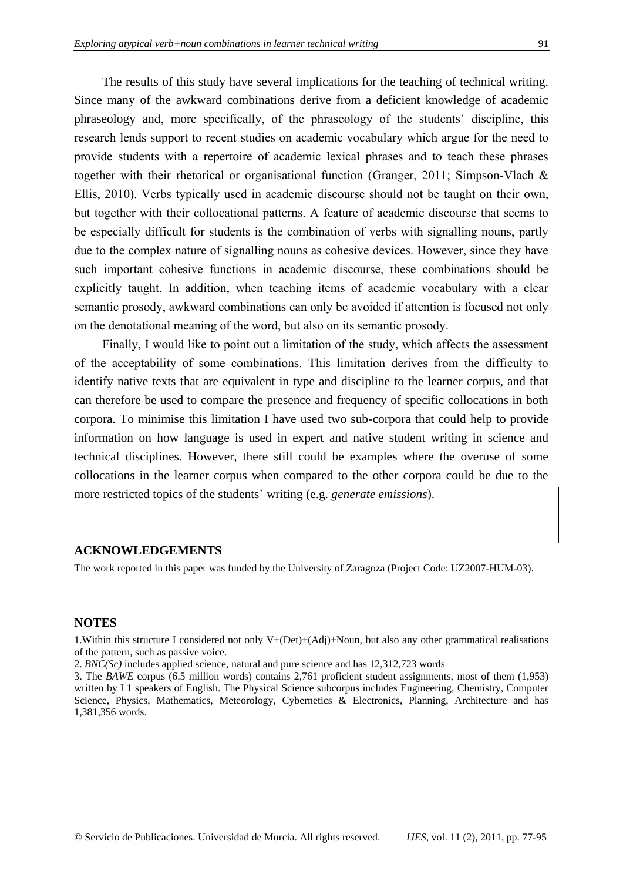The results of this study have several implications for the teaching of technical writing. Since many of the awkward combinations derive from a deficient knowledge of academic phraseology and, more specifically, of the phraseology of the students' discipline, this research lends support to recent studies on academic vocabulary which argue for the need to provide students with a repertoire of academic lexical phrases and to teach these phrases together with their rhetorical or organisational function (Granger, 2011; Simpson-Vlach & Ellis, 2010). Verbs typically used in academic discourse should not be taught on their own, but together with their collocational patterns. A feature of academic discourse that seems to be especially difficult for students is the combination of verbs with signalling nouns, partly due to the complex nature of signalling nouns as cohesive devices. However, since they have such important cohesive functions in academic discourse, these combinations should be explicitly taught. In addition, when teaching items of academic vocabulary with a clear semantic prosody, awkward combinations can only be avoided if attention is focused not only on the denotational meaning of the word, but also on its semantic prosody.

Finally, I would like to point out a limitation of the study, which affects the assessment of the acceptability of some combinations. This limitation derives from the difficulty to identify native texts that are equivalent in type and discipline to the learner corpus, and that can therefore be used to compare the presence and frequency of specific collocations in both corpora. To minimise this limitation I have used two sub-corpora that could help to provide information on how language is used in expert and native student writing in science and technical disciplines. However, there still could be examples where the overuse of some collocations in the learner corpus when compared to the other corpora could be due to the more restricted topics of the students' writing (e.g. *generate emissions*).

## **ACKNOWLEDGEMENTS**

The work reported in this paper was funded by the University of Zaragoza (Project Code: UZ2007-HUM-03).

## **NOTES**

1.Within this structure I considered not only V+(Det)+(Adj)+Noun, but also any other grammatical realisations of the pattern, such as passive voice.

2. *BNC(Sc)* includes applied science, natural and pure science and has 12,312,723 words

3. The *BAWE* corpus (6.5 million words) contains 2,761 proficient student assignments, most of them (1,953) written by L1 speakers of English. The Physical Science subcorpus includes Engineering, Chemistry, Computer Science, Physics, Mathematics, Meteorology, Cybernetics & Electronics, Planning, Architecture and has 1,381,356 words.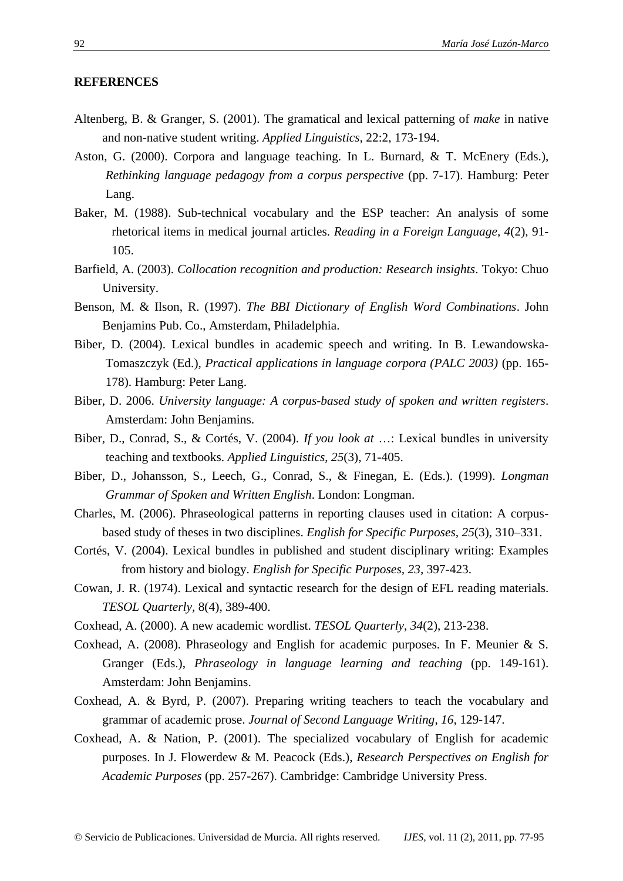## **REFERENCES**

- Altenberg, B. & Granger, S. (2001). The gramatical and lexical patterning of *make* in native and non-native student writing. *Applied Linguistics,* 22:2, 173-194.
- Aston, G. (2000). Corpora and language teaching. In L. Burnard, & T. McEnery (Eds.), *Rethinking language pedagogy from a corpus perspective* (pp. 7-17). Hamburg: Peter Lang.
- Baker, M. (1988). Sub-technical vocabulary and the ESP teacher: An analysis of some rhetorical items in medical journal articles. *Reading in a Foreign Language, 4*(2), 91- 105.
- Barfield, A. (2003). *Collocation recognition and production: Research insights*. Tokyo: Chuo University.
- Benson, M. & Ilson, R. (1997). *The BBI Dictionary of English Word Combinations*. John Benjamins Pub. Co., Amsterdam, Philadelphia.
- Biber, D. (2004). Lexical bundles in academic speech and writing. In B. Lewandowska-Tomaszczyk (Ed.), *Practical applications in language corpora (PALC 2003)* (pp. 165- 178). Hamburg: Peter Lang.
- Biber, D. 2006. *University language: A corpus-based study of spoken and written registers*. Amsterdam: John Benjamins.
- Biber, D., Conrad, S., & Cortés, V. (2004). *If you look at* …: Lexical bundles in university teaching and textbooks. *Applied Linguistics*, *25*(3), 71-405.
- Biber, D., Johansson, S., Leech, G., Conrad, S., & Finegan, E. (Eds.). (1999). *Longman Grammar of Spoken and Written English*. London: Longman.
- Charles, M. (2006). Phraseological patterns in reporting clauses used in citation: A corpusbased study of theses in two disciplines. *English for Specific Purposes, 25*(3), 310–331.
- Cortés, V. (2004). Lexical bundles in published and student disciplinary writing: Examples from history and biology. *English for Specific Purposes, 23,* 397-423.
- Cowan, J. R. (1974). Lexical and syntactic research for the design of EFL reading materials. *TESOL Quarterly,* 8(4), 389-400.
- Coxhead, A. (2000). A new academic wordlist. *TESOL Quarterly*, *34*(2), 213-238.
- Coxhead, A. (2008). Phraseology and English for academic purposes. In F. Meunier & S. Granger (Eds.), *Phraseology in language learning and teaching* (pp. 149-161). Amsterdam: John Benjamins.
- Coxhead, A. & Byrd, P. (2007). Preparing writing teachers to teach the vocabulary and grammar of academic prose. *Journal of Second Language Writing*, *16,* 129-147.
- Coxhead, A. & Nation, P. (2001). The specialized vocabulary of English for academic purposes. In J. Flowerdew & M. Peacock (Eds.), *Research Perspectives on English for Academic Purposes* (pp. 257-267). Cambridge: Cambridge University Press.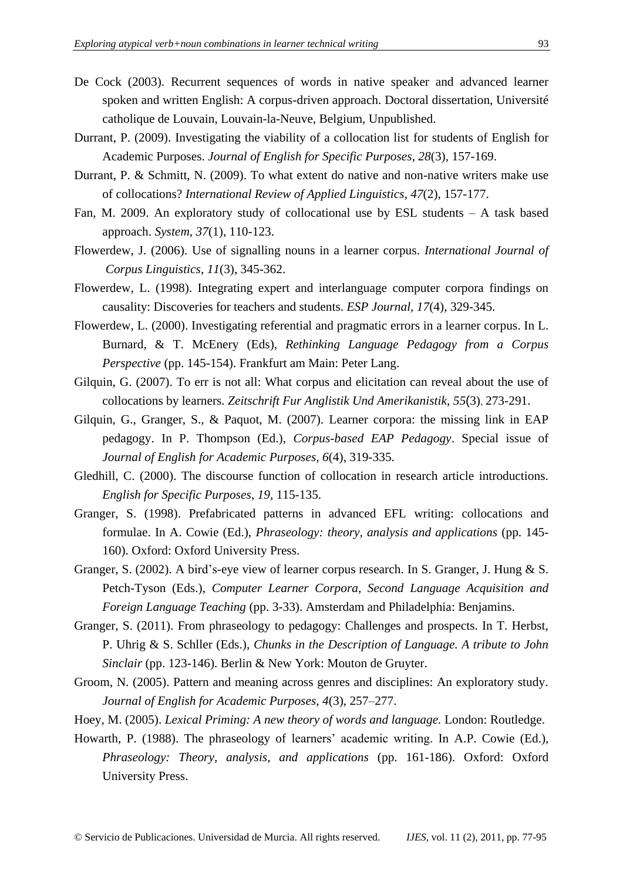- De Cock (2003). Recurrent sequences of words in native speaker and advanced learner spoken and written English: A corpus-driven approach. Doctoral dissertation, Université catholique de Louvain, Louvain-la-Neuve, Belgium, Unpublished.
- Durrant, P. (2009). Investigating the viability of a collocation list for students of English for Academic Purposes. *Journal of English for Specific Purposes*, *28*(3), 157-169.
- Durrant, P. & Schmitt, N. (2009). To what extent do native and non-native writers make use of collocations? *International Review of Applied Linguistics*, *47*(2), 157-177.
- Fan, M. 2009. An exploratory study of collocational use by ESL students A task based approach. *System*, *37*(1), 110-123.
- Flowerdew, J. (2006). Use of signalling nouns in a learner corpus. *International Journal of Corpus Linguistics*, *11*(3), 345-362.
- Flowerdew, L. (1998). Integrating expert and interlanguage computer corpora findings on causality: Discoveries for teachers and students. *ESP Journal, 17*(4), 329-345.
- Flowerdew, L. (2000). Investigating referential and pragmatic errors in a learner corpus. In L. Burnard, & T. McEnery (Eds), *Rethinking Language Pedagogy from a Corpus Perspective* (pp. 145-154). Frankfurt am Main: Peter Lang.
- Gilquin, G. (2007). To err is not all: What corpus and elicitation can reveal about the use of collocations by learners. *Zeitschrift Fur Anglistik Und Amerikanistik*, *55*(3), 273-291.
- Gilquin, G., Granger, S., & Paquot, M. (2007). Learner corpora: the missing link in EAP pedagogy. In P. Thompson (Ed.), *Corpus-based EAP Pedagogy*. Special issue of *Journal of English for Academic Purposes, 6*(4), 319-335.
- Gledhill, C. (2000). The discourse function of collocation in research article introductions. *English for Specific Purposes*, *19,* 115-135.
- Granger, S. (1998). Prefabricated patterns in advanced EFL writing: collocations and formulae. In A. Cowie (Ed.), *Phraseology: theory, analysis and applications* (pp. 145- 160). Oxford: Oxford University Press.
- Granger, S. (2002). A bird's-eye view of learner corpus research. In S. Granger, J. Hung & S. Petch-Tyson (Eds.), *Computer Learner Corpora, Second Language Acquisition and Foreign Language Teaching* (pp. 3-33). Amsterdam and Philadelphia: Benjamins.
- Granger, S. (2011). From phraseology to pedagogy: Challenges and prospects. In T. Herbst, P. Uhrig & S. Schller (Eds.), *Chunks in the Description of Language. A tribute to John Sinclair* (pp. 123-146). Berlin & New York: Mouton de Gruyter.
- Groom, N. (2005). Pattern and meaning across genres and disciplines: An exploratory study. *Journal of English for Academic Purposes, 4*(3), 257–277.
- Hoey, M. (2005). *Lexical Priming: A new theory of words and language.* London: Routledge.
- Howarth, P. (1988). The phraseology of learners' academic writing. In A.P. Cowie (Ed.), *Phraseology: Theory, analysis, and applications* (pp. 161-186). Oxford: Oxford University Press.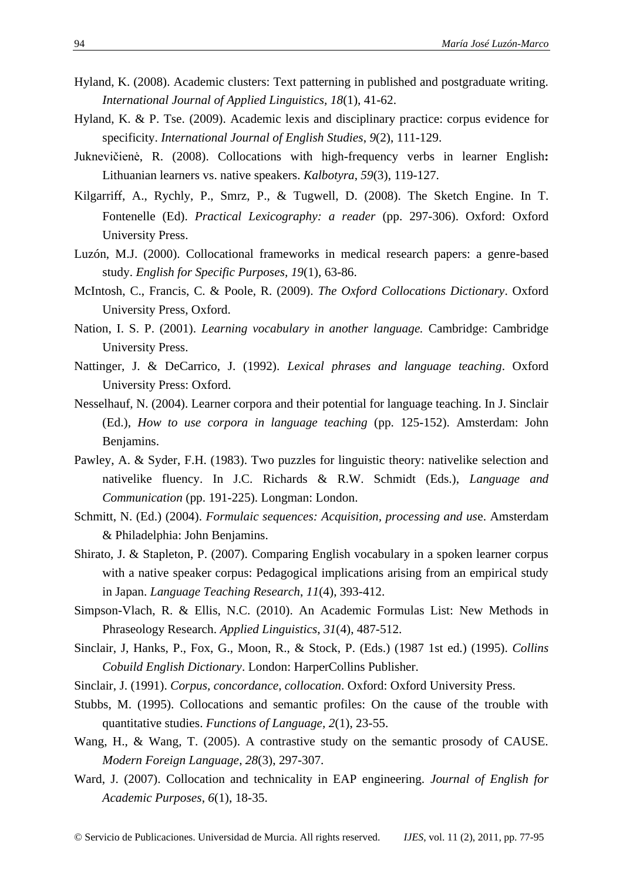- Hyland, K. (2008). Academic clusters: Text patterning in published and postgraduate writing. *International Journal of Applied Linguistics, 18*(1), 41-62.
- Hyland, K. & P. Tse. (2009). Academic lexis and disciplinary practice: corpus evidence for specificity. *International Journal of English Studies*, *9*(2), 111-129.
- Juknevičienė, R. (2008). Collocations with high-frequency verbs in learner English**:**  Lithuanian learners vs. native speakers. *Kalbotyra*, *59*(3), 119-127.
- Kilgarriff, A., Rychly, P., Smrz, P., & Tugwell, D. (2008). The Sketch Engine. In T. Fontenelle (Ed). *Practical Lexicography: a reader* (pp. 297-306). Oxford: Oxford University Press.
- Luzón, M.J. (2000). Collocational frameworks in medical research papers: a genre-based study. *English for Specific Purposes, 19*(1), 63-86.
- McIntosh, C., Francis, C. & Poole, R. (2009). *The Oxford Collocations Dictionary*. Oxford University Press, Oxford.
- Nation, I. S. P. (2001). *Learning vocabulary in another language.* Cambridge: Cambridge University Press.
- Nattinger, J. & DeCarrico, J. (1992). *Lexical phrases and language teaching*. Oxford University Press: Oxford.
- Nesselhauf, N. (2004). Learner corpora and their potential for language teaching. In J. Sinclair (Ed.), *How to use corpora in language teaching* (pp. 125-152). Amsterdam: John Benjamins.
- Pawley, A. & Syder, F.H. (1983). Two puzzles for linguistic theory: nativelike selection and nativelike fluency. In J.C. Richards & R.W. Schmidt (Eds.), *Language and Communication* (pp. 191-225). Longman: London.
- Schmitt, N. (Ed.) (2004). *Formulaic sequences: Acquisition, processing and us*e. Amsterdam & Philadelphia: John Benjamins.
- Shirato, J. & Stapleton, P. (2007). Comparing English vocabulary in a spoken learner corpus with a native speaker corpus: Pedagogical implications arising from an empirical study in Japan. *Language Teaching Research*, *11*(4), 393-412.
- Simpson-Vlach, R. & Ellis, N.C. (2010). An Academic Formulas List: New Methods in Phraseology Research. *Applied Linguistics*, *31*(4), 487-512.
- Sinclair, J, Hanks, P., Fox, G., Moon, R., & Stock, P. (Eds.) (1987 1st ed.) (1995). *Collins Cobuild English Dictionary*. London: HarperCollins Publisher.
- Sinclair, J. (1991). *Corpus, concordance, collocation*. Oxford: Oxford University Press.
- Stubbs, M. (1995). Collocations and semantic profiles: On the cause of the trouble with quantitative studies. *Functions of Language, 2*(1), 23-55.
- Wang, H., & Wang, T. (2005). A contrastive study on the semantic prosody of CAUSE. *Modern Foreign Language*, *28*(3), 297-307.
- Ward, J. (2007). Collocation and technicality in EAP engineering. *Journal of English for Academic Purposes*, *6*(1), 18-35.